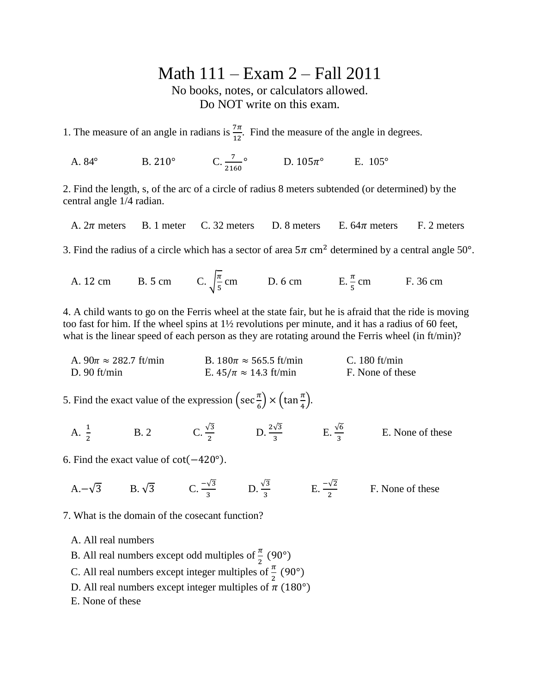## Math 111 – Exam 2 – Fall 2011

No books, notes, or calculators allowed. Do NOT write on this exam.

1. The measure of an angle in radians is  $\frac{7\pi}{12}$ . Find the measure of the angle in degrees.

A.  $84^{\circ}$  B.  $210^{\circ}$  $\frac{7}{2160}$ ° D. 105 $\pi$ ° E. 105°

2. Find the length, s, of the arc of a circle of radius 8 meters subtended (or determined) by the central angle 1/4 radian.

A.  $2\pi$  meters B. 1 meter C. 32 meters D. 8 meters E. 64 $\pi$  meters F. 2 meters

3. Find the radius of a circle which has a sector of area  $5\pi$  cm<sup>2</sup> determined by a central angle 50°.

A. 12 cm B. 5 cm C.  $\frac{\pi}{5}$  $\frac{\pi}{5}$  cm D. 6 cm E.  $\frac{\pi}{5}$  cm F. 36 cm

4. A child wants to go on the Ferris wheel at the state fair, but he is afraid that the ride is moving too fast for him. If the wheel spins at 1½ revolutions per minute, and it has a radius of 60 feet, what is the linear speed of each person as they are rotating around the Ferris wheel (in ft/min)?

A.  $90\pi \approx 282.7$  ft/min B.  $180\pi \approx 565.5$  ft/min C. 180 ft/min D. 90 ft/min E.  $45/\pi \approx 14.3$  ft/min F. None of these

5. Find the exact value of the expression  $\left( \sec \frac{\pi}{6} \right)$  $\frac{\pi}{6}$   $\times$   $\left(\tan\frac{\pi}{4}\right)$ 

- A.  $\frac{1}{2}$  $\overline{\mathbf{c}}$ B. 2 C.  $\frac{\sqrt{3}}{2}$  D.  $\frac{2\sqrt{3}}{3}$  E. None of these
- 6. Find the exact value of  $cot(-420^{\circ})$ .
	- A.  $-\sqrt{3}$  B.  $\sqrt{3}$  C.  $\frac{-v_3}{3}$  D.  $\frac{v_3}{3}$  E.  $\frac{-v_2}{2}$  F. None of these

7. What is the domain of the cosecant function?

A. All real numbers

- B. All real numbers except odd multiples of  $\frac{\pi}{2}$  (
- C. All real numbers except integer multiples of  $\frac{\pi}{2}$  (
- D. All real numbers except integer multiples of  $\pi$  (180°)
- E. None of these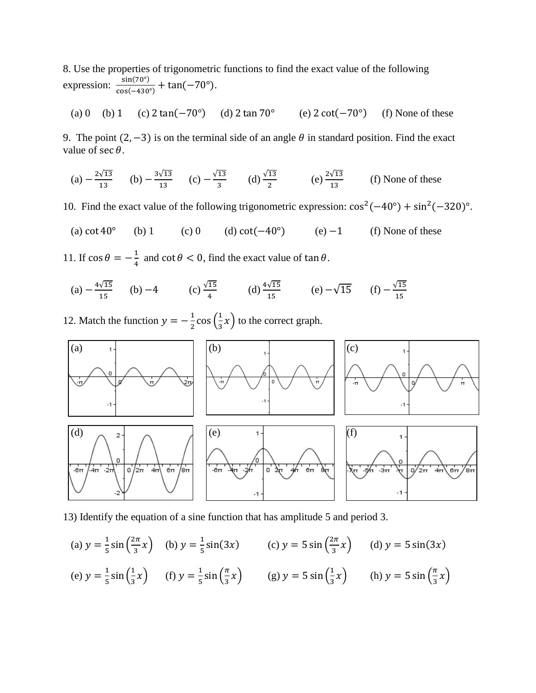8. Use the properties of trigonometric functions to find the exact value of the following expression:  $\frac{s}{\sqrt{2}}$  $\frac{\sin(7\theta)}{\cos(-430^\circ)} + \tan(-70^\circ).$ 

(a) 0 (b) 1 (c) 
$$
2 \tan(-70^{\circ})
$$
 (d)  $2 \tan 70^{\circ}$  (e)  $2 \cot(-70^{\circ})$  (f) None of these

9. The point  $(2, -3)$  is on the terminal side of an angle  $\theta$  in standard position. Find the exact value of  $\sec \theta$ .

(a) 
$$
-\frac{2\sqrt{13}}{13}
$$
 (b)  $-\frac{3\sqrt{13}}{13}$  (c)  $-\frac{\sqrt{13}}{3}$  (d)  $\frac{\sqrt{13}}{2}$  (e)  $\frac{2\sqrt{13}}{13}$  (f) None of these

10. Find the exact value of the following trigonometric expression:  $\cos^2(-40^\circ) + \sin^2(-320)^\circ$ .

- (a)  $\cot 40^\circ$  (b) 1 (c) 0 (d)  $\cot(-40^\circ)$  (e)  $-1$  (f) None of these
- 11. If  $\cos \theta = -\frac{1}{4}$  $\frac{1}{4}$  and  $\cot \theta < 0$ , find the exact value of  $\tan \theta$ .

(a) 
$$
-\frac{4\sqrt{15}}{15}
$$
 (b)  $-4$  (c)  $\frac{\sqrt{15}}{4}$  (d)  $\frac{4\sqrt{15}}{15}$  (e)  $-\sqrt{15}$  (f)  $-\frac{\sqrt{15}}{15}$ 

12. Match the function  $y = -\frac{1}{3}$  $\frac{1}{2}$  cos  $\left(\frac{1}{3}\right)$  $\frac{1}{3}x$  to the correct graph.



13) Identify the equation of a sine function that has amplitude 5 and period 3.

(a) 
$$
y = \frac{1}{5} \sin(\frac{2\pi}{3}x)
$$
 (b)  $y = \frac{1}{5} \sin(3x)$  (c)  $y = 5 \sin(\frac{2\pi}{3}x)$  (d)  $y = 5 \sin(3x)$   
\n(e)  $y = \frac{1}{5} \sin(\frac{1}{3}x)$  (f)  $y = \frac{1}{5} \sin(\frac{\pi}{3}x)$  (g)  $y = 5 \sin(\frac{1}{3}x)$  (h)  $y = 5 \sin(\frac{\pi}{3}x)$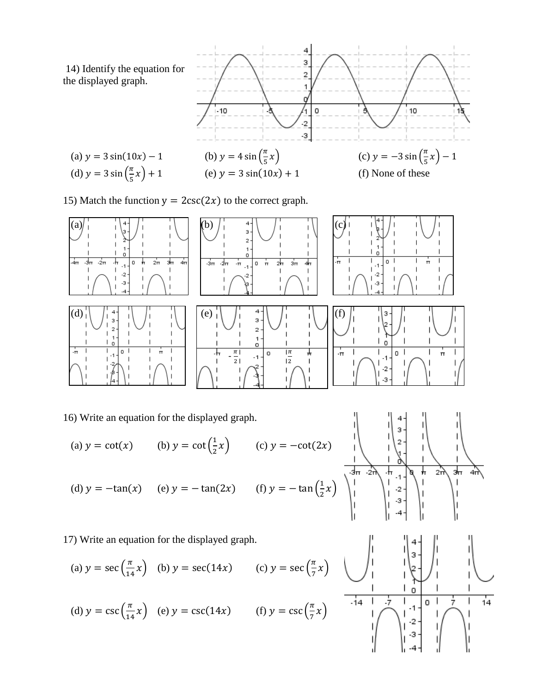14) Identify the equation for the displayed graph.





15) Match the function  $y = 2csc(2x)$  to the correct graph.



16) Write an equation for the displayed graph.

(a)  $y = \cot(x)$  (b)  $y = \cot(\frac{1}{x})$  $\frac{1}{2}x$  (c) y (d)  $y = -\tan(x)$  (e)  $y = -\tan(2x)$  (f)  $y = -\tan(\frac{1}{2})$  $\frac{1}{2}x$ 

17) Write an equation for the displayed graph.

(a) 
$$
y = \sec\left(\frac{\pi}{14}x\right)
$$
 (b)  $y = \sec(14x)$  (c)  $y = \sec\left(\frac{\pi}{7}x\right)$   
(d)  $y = \csc\left(\frac{\pi}{14}x\right)$  (e)  $y = \csc(14x)$  (f)  $y = \csc\left(\frac{\pi}{7}x\right)$ 



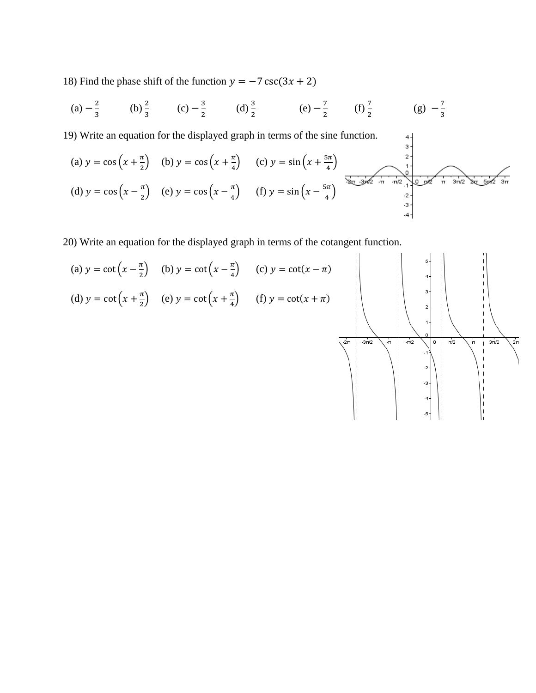18) Find the phase shift of the function  $y = -7 \csc(3x + 2)$ 

(a) 
$$
-\frac{2}{3}
$$
 (b)  $\frac{2}{3}$  (c)  $-\frac{3}{2}$  (d)  $\frac{3}{2}$  (e)  $-\frac{7}{2}$  (f)  $\frac{7}{2}$  (g)  $-\frac{7}{3}$ 

19) Write an equation for the displayed graph in terms of the sine function.

9) Write an equation for the displayed graph in terms of the sine function.\n  
\n(a) 
$$
y = \cos\left(x + \frac{\pi}{2}\right)
$$
 (b)  $y = \cos\left(x + \frac{\pi}{4}\right)$  (c)  $y = \sin\left(x + \frac{5\pi}{4}\right)$ \n  
\n(d)  $y = \cos\left(x - \frac{\pi}{2}\right)$  (e)  $y = \cos\left(x - \frac{\pi}{4}\right)$  (f)  $y = \sin\left(x - \frac{5\pi}{4}\right)$ 

20) Write an equation for the displayed graph in terms of the cotangent function.